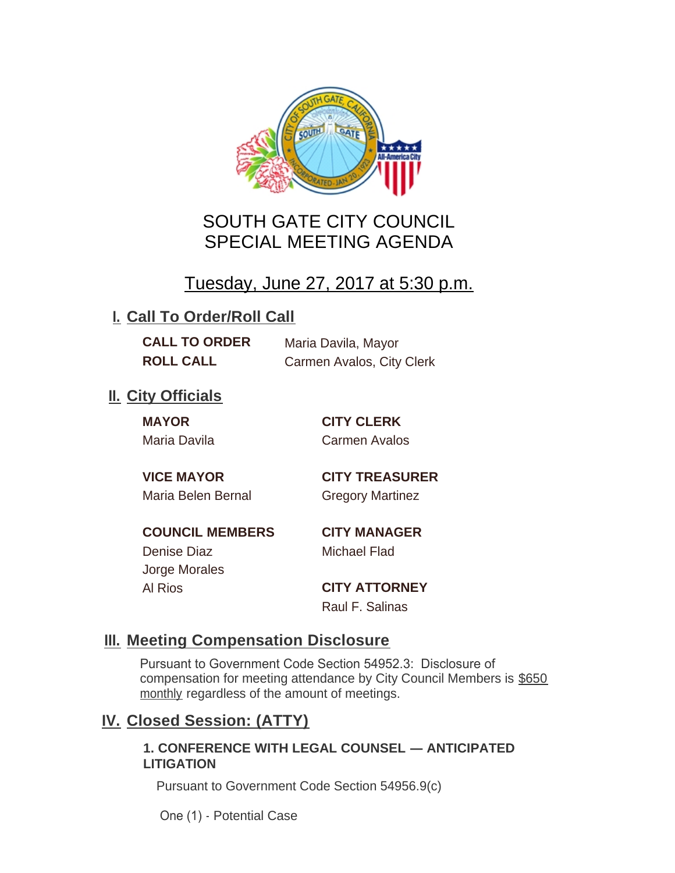

# SOUTH GATE CITY COUNCIL SPECIAL MEETING AGENDA

# Tuesday, June 27, 2017 at 5:30 p.m.

## **I. Call To Order/Roll Call**

**CALL TO ORDER** Maria Davila, Mayor **ROLL CALL** Carmen Avalos, City Clerk

## **II.** City Officials

**MAYOR CITY CLERK**

Maria Davila Carmen Avalos

Maria Belen Bernal Gregory Martinez

**VICE MAYOR CITY TREASURER**

**COUNCIL MEMBERS CITY MANAGER** Denise Diaz Michael Flad

Jorge Morales

Al Rios **CITY ATTORNEY** Raul F. Salinas

### **Meeting Compensation Disclosure III.**

Pursuant to Government Code Section 54952.3: Disclosure of compensation for meeting attendance by City Council Members is \$650 monthly regardless of the amount of meetings.

### **Closed Session: (ATTY) IV.**

#### **1. CONFERENCE WITH LEGAL COUNSEL — ANTICIPATED LITIGATION**

Pursuant to Government Code Section 54956.9(c)

One (1) - Potential Case